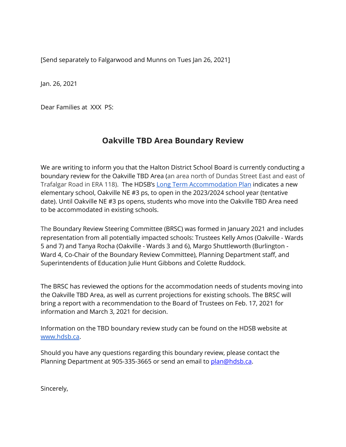[Send separately to Falgarwood and Munns on Tues Jan 26, 2021]

Jan. 26, 2021

Dear Families at XXX PS:

## **Oakville TBD Area Boundary Review**

We are writing to inform you that the Halton District School Board is currently conducting a boundary review for the Oakville TBD Area (an area north of Dundas Street East and east of Trafalgar Road in ERA 118). The HDSB's Long Term [Accommodation](https://www.hdsb.ca/our-board/Planning/LTAP/LTAP20192020-All.pdf) Plan indicates a new elementary school, Oakville NE #3 ps, to open in the 2023/2024 school year (tentative date). Until Oakville NE #3 ps opens, students who move into the Oakville TBD Area need to be accommodated in existing schools.

The Boundary Review Steering Committee (BRSC) was formed in January 2021 and includes representation from all potentially impacted schools: Trustees Kelly Amos (Oakville - Wards 5 and 7) and Tanya Rocha (Oakville - Wards 3 and 6), Margo Shuttleworth (Burlington - Ward 4, Co-Chair of the Boundary Review Committee), Planning Department staff, and Superintendents of Education Julie Hunt Gibbons and Colette Ruddock.

The BRSC has reviewed the options for the accommodation needs of students moving into the Oakville TBD Area, as well as current projections for existing schools. The BRSC will bring a report with a recommendation to the Board of Trustees on Feb. 17, 2021 for information and March 3, 2021 for decision.

Information on the TBD boundary review study can be found on the HDSB website at [www.hdsb.ca](https://www.hdsb.ca/schools/Pages/School%20Boundary%20Reviews/Current%20Boundary%20Reviews/Oakville-T-B-D--Area-Boundary-Review.aspx).

Should you have any questions regarding this boundary review, please contact the Planning Department at 905-335-3665 or send an email to plan@hdsb.ca.

Sincerely,